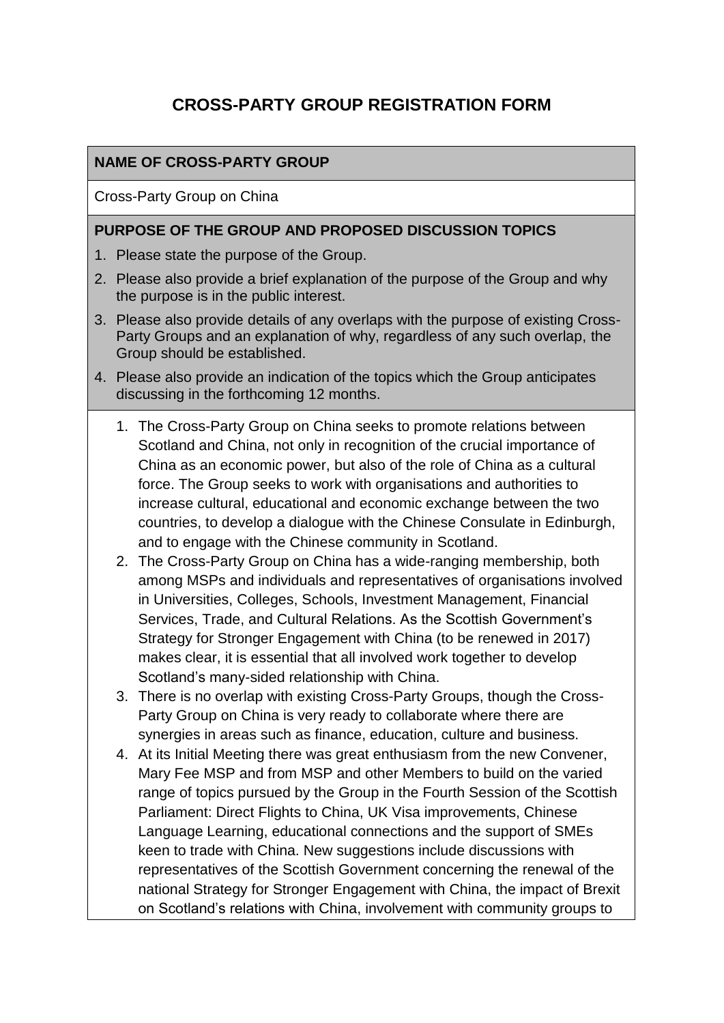# **CROSS-PARTY GROUP REGISTRATION FORM**

## **NAME OF CROSS-PARTY GROUP**

Cross-Party Group on China

#### **PURPOSE OF THE GROUP AND PROPOSED DISCUSSION TOPICS**

- 1. Please state the purpose of the Group.
- 2. Please also provide a brief explanation of the purpose of the Group and why the purpose is in the public interest.
- 3. Please also provide details of any overlaps with the purpose of existing Cross-Party Groups and an explanation of why, regardless of any such overlap, the Group should be established.
- 4. Please also provide an indication of the topics which the Group anticipates discussing in the forthcoming 12 months.
	- 1. The Cross-Party Group on China seeks to promote relations between Scotland and China, not only in recognition of the crucial importance of China as an economic power, but also of the role of China as a cultural force. The Group seeks to work with organisations and authorities to increase cultural, educational and economic exchange between the two countries, to develop a dialogue with the Chinese Consulate in Edinburgh, and to engage with the Chinese community in Scotland.
	- 2. The Cross-Party Group on China has a wide-ranging membership, both among MSPs and individuals and representatives of organisations involved in Universities, Colleges, Schools, Investment Management, Financial Services, Trade, and Cultural Relations. As the Scottish Government's Strategy for Stronger Engagement with China (to be renewed in 2017) makes clear, it is essential that all involved work together to develop Scotland's many-sided relationship with China.
	- 3. There is no overlap with existing Cross-Party Groups, though the Cross-Party Group on China is very ready to collaborate where there are synergies in areas such as finance, education, culture and business.
	- 4. At its Initial Meeting there was great enthusiasm from the new Convener, Mary Fee MSP and from MSP and other Members to build on the varied range of topics pursued by the Group in the Fourth Session of the Scottish Parliament: Direct Flights to China, UK Visa improvements, Chinese Language Learning, educational connections and the support of SMEs keen to trade with China. New suggestions include discussions with representatives of the Scottish Government concerning the renewal of the national Strategy for Stronger Engagement with China, the impact of Brexit on Scotland's relations with China, involvement with community groups to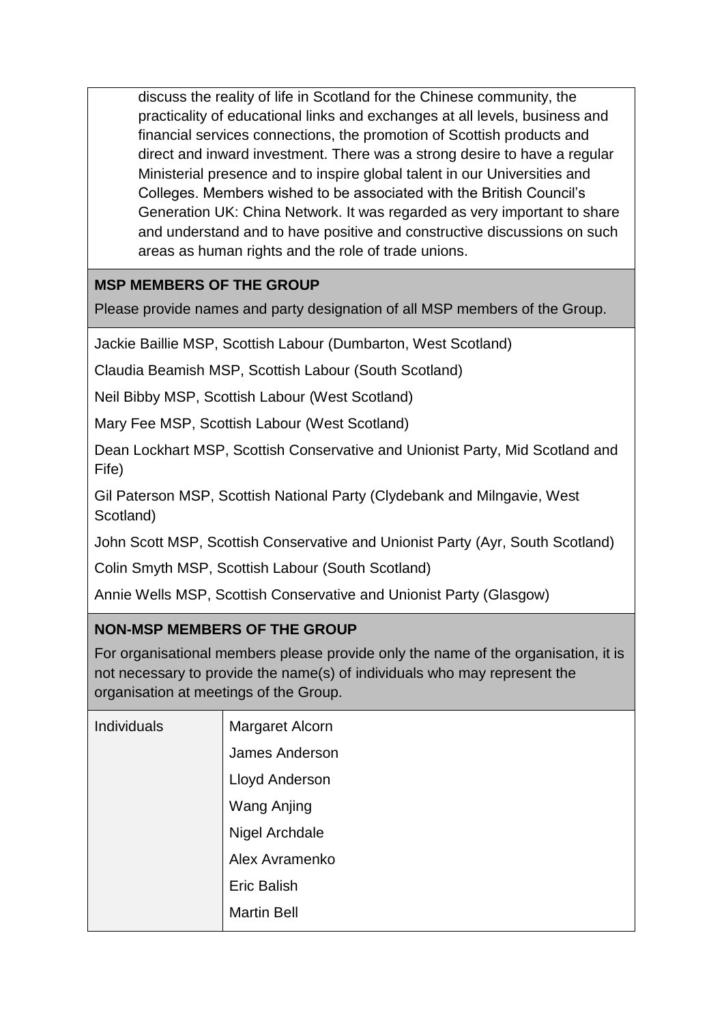discuss the reality of life in Scotland for the Chinese community, the practicality of educational links and exchanges at all levels, business and financial services connections, the promotion of Scottish products and direct and inward investment. There was a strong desire to have a regular Ministerial presence and to inspire global talent in our Universities and Colleges. Members wished to be associated with the British Council's Generation UK: China Network. It was regarded as very important to share and understand and to have positive and constructive discussions on such areas as human rights and the role of trade unions.

## **MSP MEMBERS OF THE GROUP**

Please provide names and party designation of all MSP members of the Group.

Jackie Baillie MSP, Scottish Labour (Dumbarton, West Scotland)

Claudia Beamish MSP, Scottish Labour (South Scotland)

Neil Bibby MSP, Scottish Labour (West Scotland)

Mary Fee MSP, Scottish Labour (West Scotland)

Dean Lockhart MSP, Scottish Conservative and Unionist Party, Mid Scotland and Fife)

Gil Paterson MSP, Scottish National Party (Clydebank and Milngavie, West Scotland)

John Scott MSP, Scottish Conservative and Unionist Party (Ayr, South Scotland)

Colin Smyth MSP, Scottish Labour (South Scotland)

Annie Wells MSP, Scottish Conservative and Unionist Party (Glasgow)

### **NON-MSP MEMBERS OF THE GROUP**

For organisational members please provide only the name of the organisation, it is not necessary to provide the name(s) of individuals who may represent the organisation at meetings of the Group.

| Individuals | Margaret Alcorn    |
|-------------|--------------------|
|             | James Anderson     |
|             | Lloyd Anderson     |
|             | <b>Wang Anjing</b> |
|             | Nigel Archdale     |
|             | Alex Avramenko     |
|             | <b>Eric Balish</b> |
|             | <b>Martin Bell</b> |
|             |                    |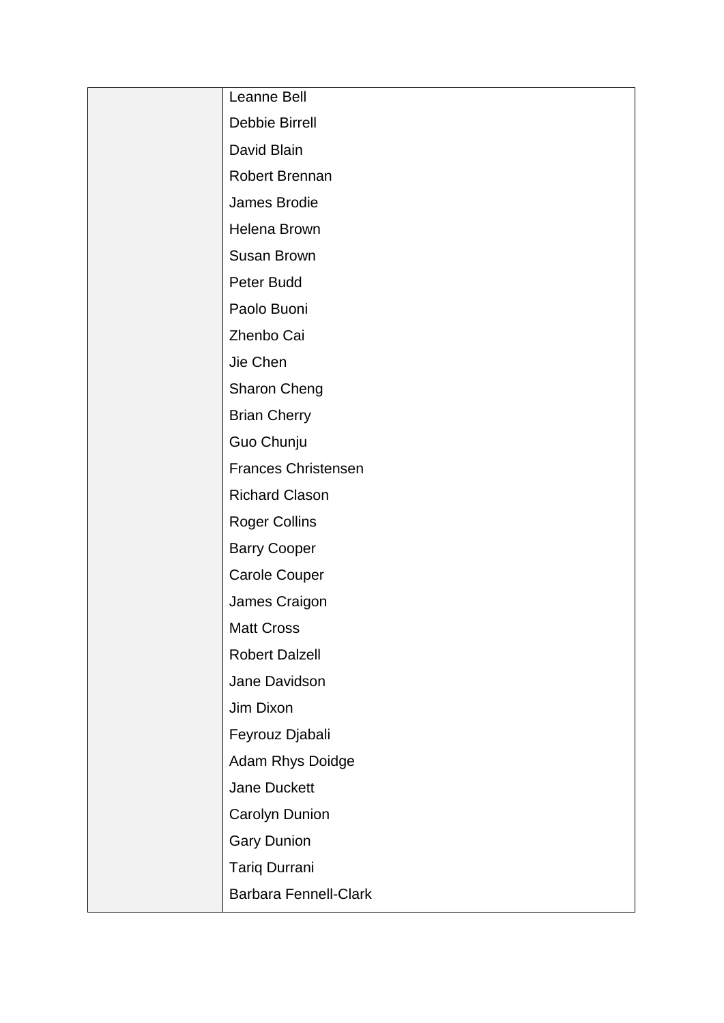| Leanne Bell                  |
|------------------------------|
| <b>Debbie Birrell</b>        |
| David Blain                  |
| Robert Brennan               |
| James Brodie                 |
| <b>Helena Brown</b>          |
| <b>Susan Brown</b>           |
| Peter Budd                   |
| Paolo Buoni                  |
| Zhenbo Cai                   |
| Jie Chen                     |
| Sharon Cheng                 |
| <b>Brian Cherry</b>          |
| Guo Chunju                   |
| <b>Frances Christensen</b>   |
| <b>Richard Clason</b>        |
| <b>Roger Collins</b>         |
| <b>Barry Cooper</b>          |
| <b>Carole Couper</b>         |
| James Craigon                |
| <b>Matt Cross</b>            |
| <b>Robert Dalzell</b>        |
| Jane Davidson                |
| Jim Dixon                    |
| Feyrouz Djabali              |
| Adam Rhys Doidge             |
| <b>Jane Duckett</b>          |
| Carolyn Dunion               |
| <b>Gary Dunion</b>           |
| <b>Tariq Durrani</b>         |
| <b>Barbara Fennell-Clark</b> |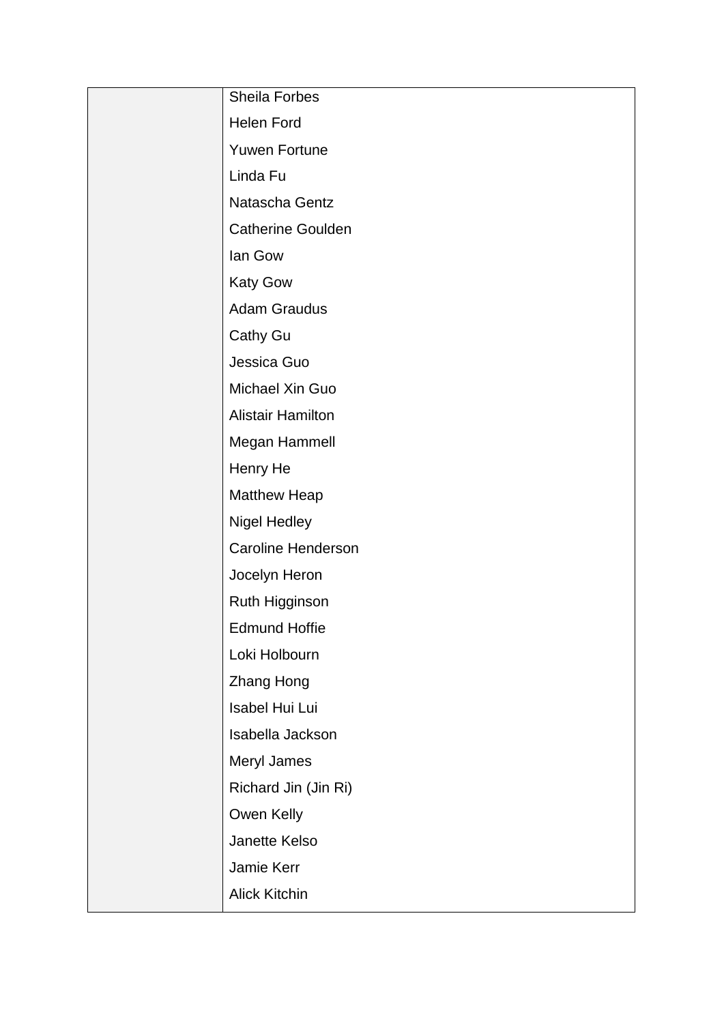| Sheila Forbes             |
|---------------------------|
| <b>Helen Ford</b>         |
| <b>Yuwen Fortune</b>      |
| Linda Fu                  |
| Natascha Gentz            |
| <b>Catherine Goulden</b>  |
| lan Gow                   |
| <b>Katy Gow</b>           |
| <b>Adam Graudus</b>       |
| <b>Cathy Gu</b>           |
| Jessica Guo               |
| Michael Xin Guo           |
| <b>Alistair Hamilton</b>  |
| Megan Hammell             |
| Henry He                  |
| Matthew Heap              |
| Nigel Hedley              |
| <b>Caroline Henderson</b> |
| Jocelyn Heron             |
| Ruth Higginson            |
| <b>Edmund Hoffie</b>      |
| Loki Holbourn             |
| Zhang Hong                |
| Isabel Hui Lui            |
| Isabella Jackson          |
| Meryl James               |
| Richard Jin (Jin Ri)      |
| Owen Kelly                |
| Janette Kelso             |
| Jamie Kerr                |
| Alick Kitchin             |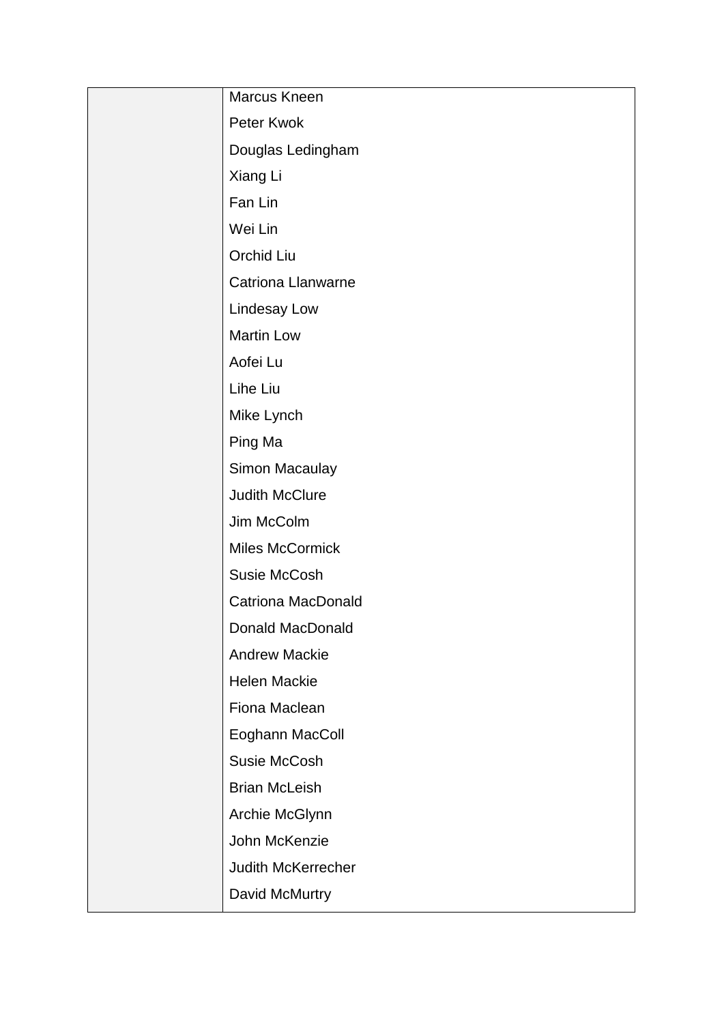| Marcus Kneen              |
|---------------------------|
| Peter Kwok                |
| Douglas Ledingham         |
| Xiang Li                  |
| Fan Lin                   |
| Wei Lin                   |
| Orchid Liu                |
| Catriona Llanwarne        |
| Lindesay Low              |
| <b>Martin Low</b>         |
| Aofei Lu                  |
| Lihe Liu                  |
| Mike Lynch                |
| Ping Ma                   |
| Simon Macaulay            |
| <b>Judith McClure</b>     |
| Jim McColm                |
| Miles McCormick           |
| <b>Susie McCosh</b>       |
| <b>Catriona MacDonald</b> |
| Donald MacDonald          |
| <b>Andrew Mackie</b>      |
| Helen Mackie              |
| Fiona Maclean             |
| Eoghann MacColl           |
| Susie McCosh              |
| <b>Brian McLeish</b>      |
| Archie McGlynn            |
| John McKenzie             |
| Judith McKerrecher        |
| David McMurtry            |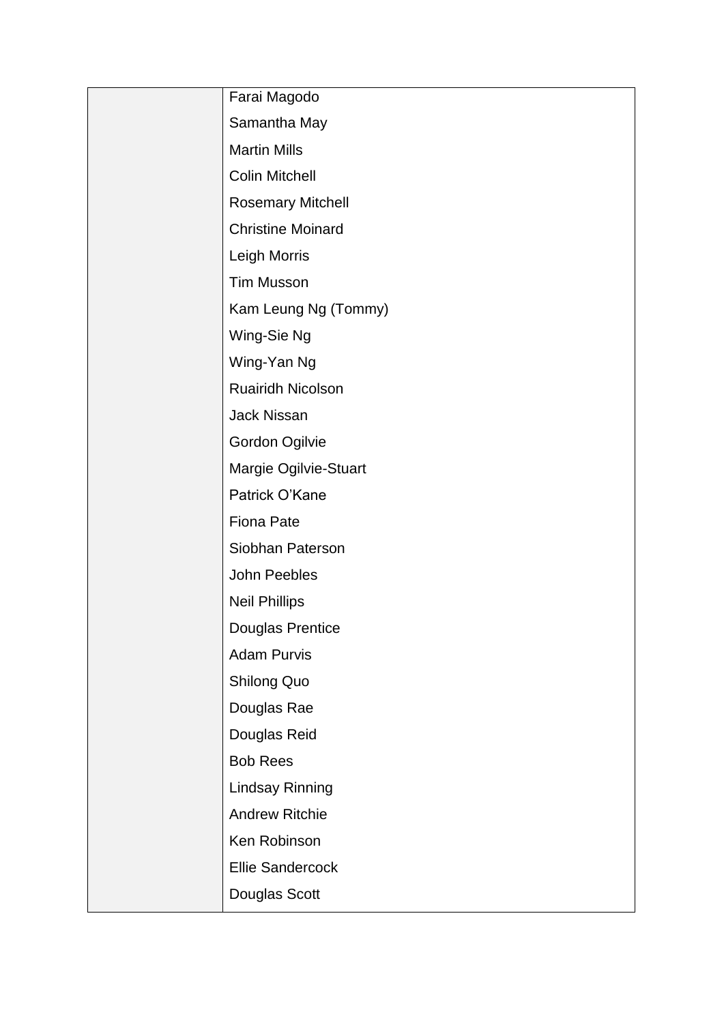| Farai Magodo             |
|--------------------------|
|                          |
| Samantha May             |
| <b>Martin Mills</b>      |
| <b>Colin Mitchell</b>    |
| <b>Rosemary Mitchell</b> |
| <b>Christine Moinard</b> |
| Leigh Morris             |
| <b>Tim Musson</b>        |
| Kam Leung Ng (Tommy)     |
| Wing-Sie Ng              |
| Wing-Yan Ng              |
| <b>Ruairidh Nicolson</b> |
| <b>Jack Nissan</b>       |
| Gordon Ogilvie           |
| Margie Ogilvie-Stuart    |
| Patrick O'Kane           |
| <b>Fiona Pate</b>        |
| Siobhan Paterson         |
| John Peebles             |
| <b>Neil Phillips</b>     |
| Douglas Prentice         |
| <b>Adam Purvis</b>       |
| <b>Shilong Quo</b>       |
| Douglas Rae              |
| Douglas Reid             |
| <b>Bob Rees</b>          |
| <b>Lindsay Rinning</b>   |
| <b>Andrew Ritchie</b>    |
| Ken Robinson             |
| <b>Ellie Sandercock</b>  |
| Douglas Scott            |
|                          |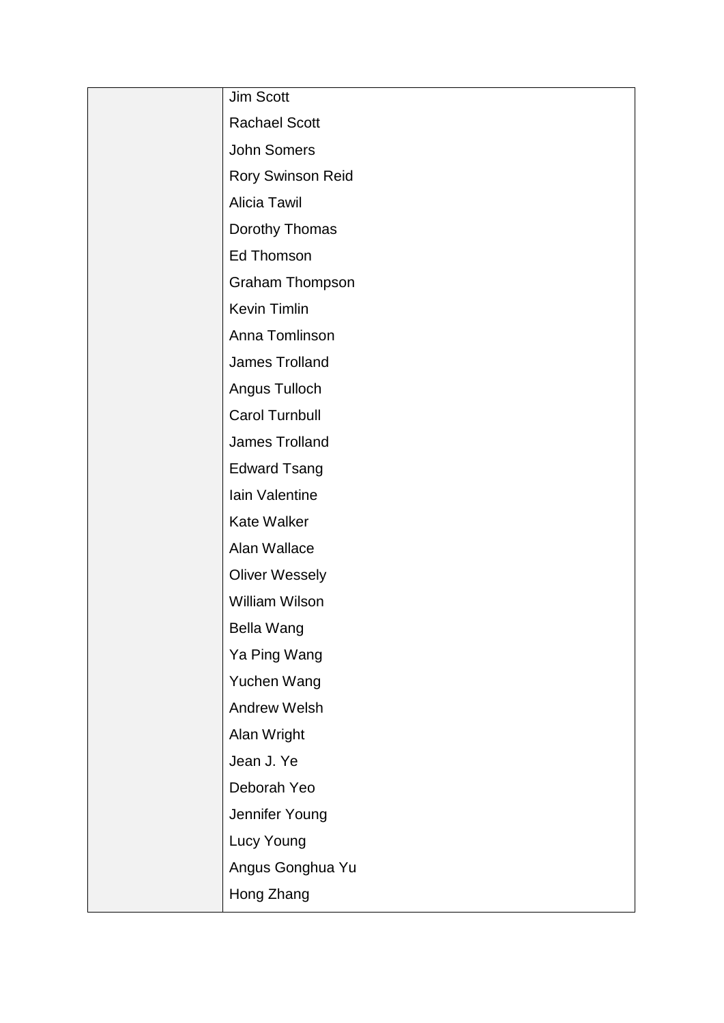| Jim Scott                |
|--------------------------|
| <b>Rachael Scott</b>     |
| <b>John Somers</b>       |
| <b>Rory Swinson Reid</b> |
| <b>Alicia Tawil</b>      |
| Dorothy Thomas           |
| <b>Ed Thomson</b>        |
| <b>Graham Thompson</b>   |
| Kevin Timlin             |
| Anna Tomlinson           |
| James Trolland           |
| Angus Tulloch            |
| <b>Carol Turnbull</b>    |
| James Trolland           |
| <b>Edward Tsang</b>      |
| Iain Valentine           |
| <b>Kate Walker</b>       |
| Alan Wallace             |
| <b>Oliver Wessely</b>    |
| <b>William Wilson</b>    |
| <b>Bella Wang</b>        |
| Ya Ping Wang             |
| Yuchen Wang              |
| <b>Andrew Welsh</b>      |
| Alan Wright              |
| Jean J. Ye               |
| Deborah Yeo              |
| Jennifer Young           |
| Lucy Young               |
| Angus Gonghua Yu         |
| Hong Zhang               |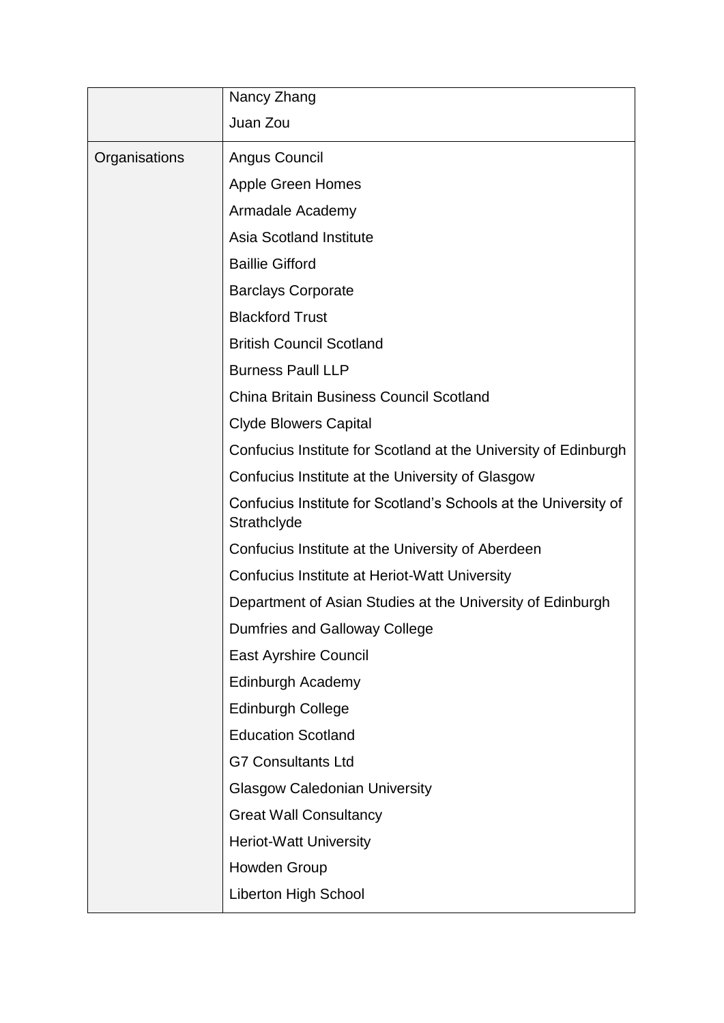|               | Nancy Zhang                                                                    |
|---------------|--------------------------------------------------------------------------------|
|               | Juan Zou                                                                       |
| Organisations | Angus Council                                                                  |
|               | <b>Apple Green Homes</b>                                                       |
|               | Armadale Academy                                                               |
|               | <b>Asia Scotland Institute</b>                                                 |
|               | <b>Baillie Gifford</b>                                                         |
|               | <b>Barclays Corporate</b>                                                      |
|               | <b>Blackford Trust</b>                                                         |
|               | <b>British Council Scotland</b>                                                |
|               | <b>Burness Paull LLP</b>                                                       |
|               | <b>China Britain Business Council Scotland</b>                                 |
|               | <b>Clyde Blowers Capital</b>                                                   |
|               | Confucius Institute for Scotland at the University of Edinburgh                |
|               | Confucius Institute at the University of Glasgow                               |
|               | Confucius Institute for Scotland's Schools at the University of<br>Strathclyde |
|               | Confucius Institute at the University of Aberdeen                              |
|               | Confucius Institute at Heriot-Watt University                                  |
|               | Department of Asian Studies at the University of Edinburgh                     |
|               | Dumfries and Galloway College                                                  |
|               | <b>East Ayrshire Council</b>                                                   |
|               | Edinburgh Academy                                                              |
|               | <b>Edinburgh College</b>                                                       |
|               | <b>Education Scotland</b>                                                      |
|               | <b>G7 Consultants Ltd</b>                                                      |
|               | <b>Glasgow Caledonian University</b>                                           |
|               | <b>Great Wall Consultancy</b>                                                  |
|               | <b>Heriot-Watt University</b>                                                  |
|               | Howden Group                                                                   |
|               | <b>Liberton High School</b>                                                    |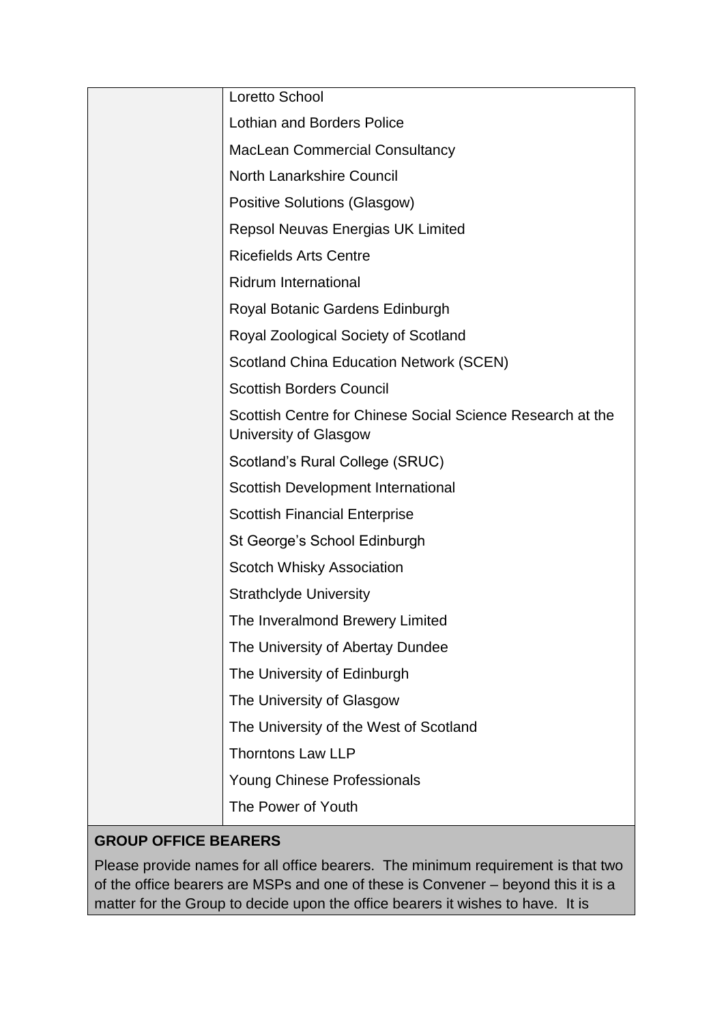| Loretto School                                                                      |
|-------------------------------------------------------------------------------------|
| <b>Lothian and Borders Police</b>                                                   |
| <b>MacLean Commercial Consultancy</b>                                               |
| <b>North Lanarkshire Council</b>                                                    |
| <b>Positive Solutions (Glasgow)</b>                                                 |
| Repsol Neuvas Energias UK Limited                                                   |
| <b>Ricefields Arts Centre</b>                                                       |
| <b>Ridrum International</b>                                                         |
| Royal Botanic Gardens Edinburgh                                                     |
| Royal Zoological Society of Scotland                                                |
| <b>Scotland China Education Network (SCEN)</b>                                      |
| <b>Scottish Borders Council</b>                                                     |
| Scottish Centre for Chinese Social Science Research at the<br>University of Glasgow |
| Scotland's Rural College (SRUC)                                                     |
| Scottish Development International                                                  |
| <b>Scottish Financial Enterprise</b>                                                |
| St George's School Edinburgh                                                        |
| <b>Scotch Whisky Association</b>                                                    |
| <b>Strathclyde University</b>                                                       |
| The Inveralmond Brewery Limited                                                     |
| The University of Abertay Dundee                                                    |
| The University of Edinburgh                                                         |
| The University of Glasgow                                                           |
| The University of the West of Scotland                                              |
| <b>Thorntons Law LLP</b>                                                            |
| <b>Young Chinese Professionals</b>                                                  |
| The Power of Youth                                                                  |

# **GROUP OFFICE BEARERS**

Please provide names for all office bearers. The minimum requirement is that two of the office bearers are MSPs and one of these is Convener – beyond this it is a matter for the Group to decide upon the office bearers it wishes to have. It is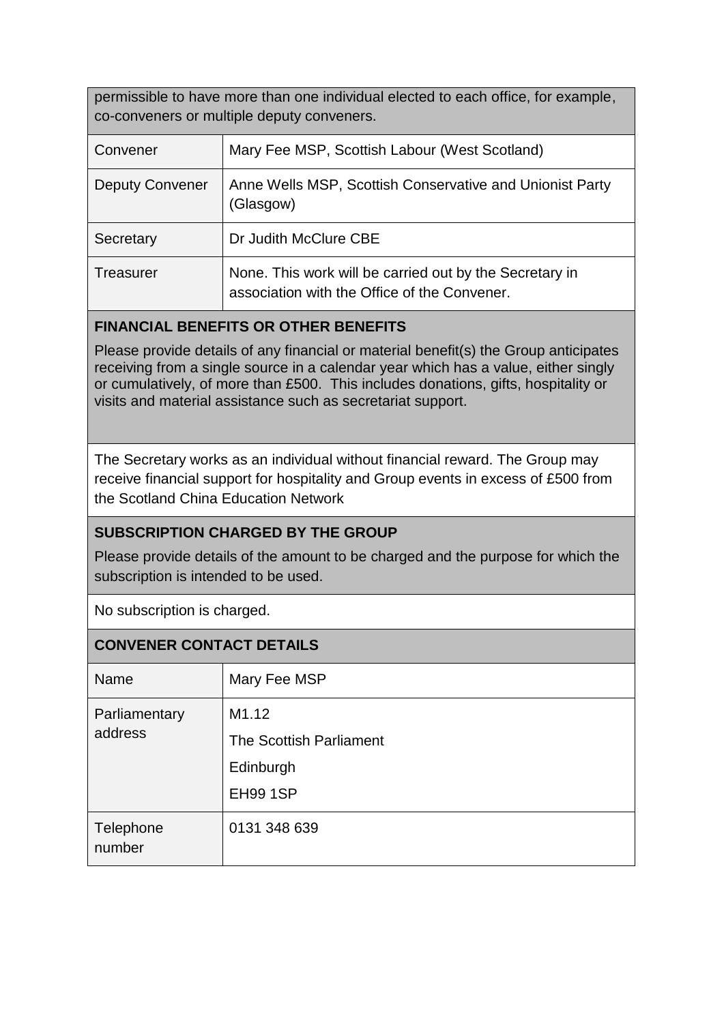permissible to have more than one individual elected to each office, for example, co-conveners or multiple deputy conveners.

| Convener               | Mary Fee MSP, Scottish Labour (West Scotland)                                                           |
|------------------------|---------------------------------------------------------------------------------------------------------|
| <b>Deputy Convener</b> | Anne Wells MSP, Scottish Conservative and Unionist Party<br>(Glasgow)                                   |
| Secretary              | Dr Judith McClure CBE                                                                                   |
| Treasurer              | None. This work will be carried out by the Secretary in<br>association with the Office of the Convener. |

### **FINANCIAL BENEFITS OR OTHER BENEFITS**

Please provide details of any financial or material benefit(s) the Group anticipates receiving from a single source in a calendar year which has a value, either singly or cumulatively, of more than £500. This includes donations, gifts, hospitality or visits and material assistance such as secretariat support.

The Secretary works as an individual without financial reward. The Group may receive financial support for hospitality and Group events in excess of £500 from the Scotland China Education Network

## **SUBSCRIPTION CHARGED BY THE GROUP**

Please provide details of the amount to be charged and the purpose for which the subscription is intended to be used.

No subscription is charged.

### **CONVENER CONTACT DETAILS**

| Name                     | Mary Fee MSP            |
|--------------------------|-------------------------|
| Parliamentary<br>address | M1.12                   |
|                          | The Scottish Parliament |
|                          | Edinburgh               |
|                          | <b>EH99 1SP</b>         |
| Telephone<br>number      | 0131 348 639            |